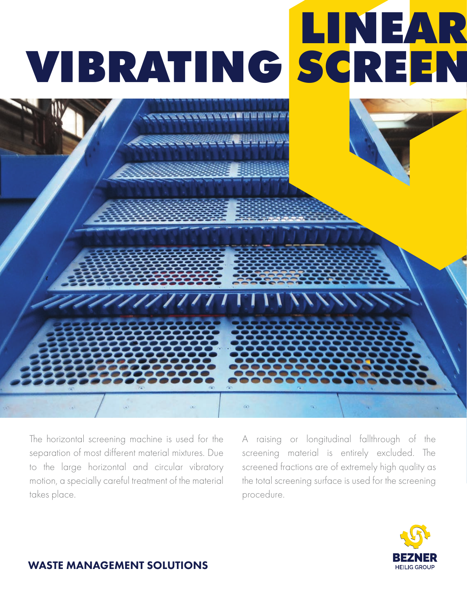

The horizontal screening machine is used for the separation of most different material mixtures. Due to the large horizontal and circular vibratory motion, a specially careful treatment of the material takes place.

7777777777

A raising or longitudinal fallthrough of the screening material is entirely excluded. The screened fractions are of extremely high quality as the total screening surface is used for the screening procedure.



## WASTE MANAGEMENT SOLUTIONS